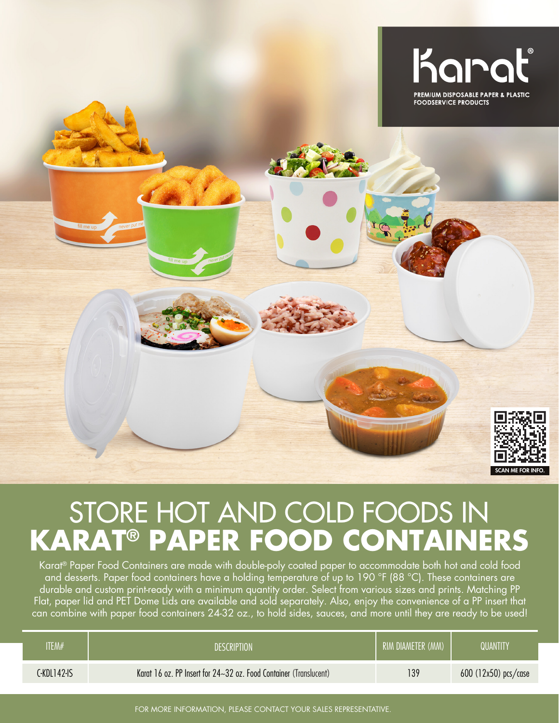

## STORE HOT AND COLD FOODS IN **KARAT® PAPER FOOD CONTAINERS**

Karat® Paper Food Containers are made with double-poly coated paper to accommodate both hot and cold food and desserts. Paper food containers have a holding temperature of up to 190 °F (88 °C). These containers are durable and custom print-ready with a minimum quantity order. Select from various sizes and prints. Matching PP Flat, paper lid and PET Dome Lids are available and sold separately. Also, enjoy the convenience of a PP insert that can combine with paper food containers 24-32 oz., to hold sides, sauces, and more until they are ready to be used!

| <b>ITEM#</b> | <b>DESCRIPTION</b>                                                | RIM DIAMETER (MM) | QUANTITY               |
|--------------|-------------------------------------------------------------------|-------------------|------------------------|
| C-KDL142-IS  | Karat 16 oz. PP Insert for 24~32 oz. Food Container (Translucent) | 139               | $600$ (12x50) pcs/case |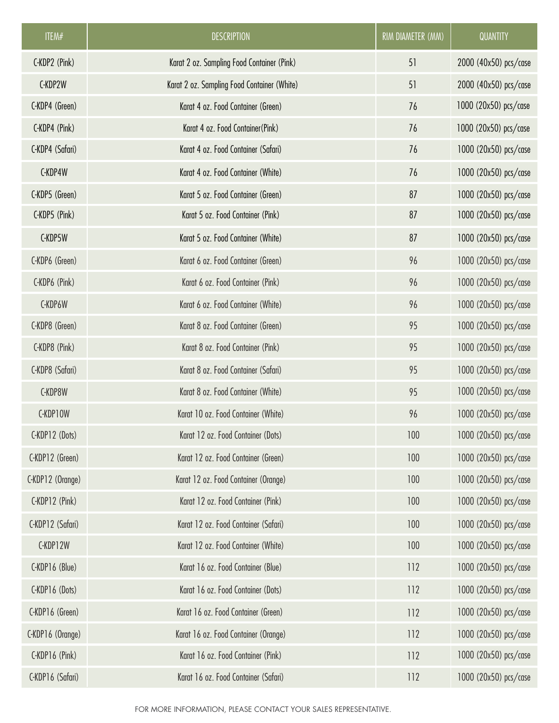| ITEM#            | <b>DESCRIPTION</b>                          | RIM DIAMETER (MM) | QUANTITY              |
|------------------|---------------------------------------------|-------------------|-----------------------|
| C-KDP2 (Pink)    | Karat 2 oz. Sampling Food Container (Pink)  | 51                | 2000 (40x50) pcs/case |
| C-KDP2W          | Karat 2 oz. Sampling Food Container (White) | 51                | 2000 (40x50) pcs/case |
| C-KDP4 (Green)   | Karat 4 oz. Food Container (Green)          | 76                | 1000 (20x50) pcs/case |
| C-KDP4 (Pink)    | Karat 4 oz. Food Container (Pink)           | 76                | 1000 (20x50) pcs/case |
| C-KDP4 (Safari)  | Karat 4 oz. Food Container (Safari)         | 76                | 1000 (20x50) pcs/case |
| C-KDP4W          | Karat 4 oz. Food Container (White)          | 76                | 1000 (20x50) pcs/case |
| C-KDP5 (Green)   | Karat 5 oz. Food Container (Green)          | 87                | 1000 (20x50) pcs/case |
| C-KDP5 (Pink)    | Karat 5 oz. Food Container (Pink)           | 87                | 1000 (20x50) pcs/case |
| C-KDP5W          | Karat 5 oz. Food Container (White)          | 87                | 1000 (20x50) pcs/case |
| C-KDP6 (Green)   | Karat 6 oz. Food Container (Green)          | 96                | 1000 (20x50) pcs/case |
| C-KDP6 (Pink)    | Karat 6 oz. Food Container (Pink)           | 96                | 1000 (20x50) pcs/case |
| C-KDP6W          | Karat 6 oz. Food Container (White)          | 96                | 1000 (20x50) pcs/case |
| C-KDP8 (Green)   | Karat 8 oz. Food Container (Green)          | 95                | 1000 (20x50) pcs/case |
| C-KDP8 (Pink)    | Karat 8 oz. Food Container (Pink)           | 95                | 1000 (20x50) pcs/case |
| C-KDP8 (Safari)  | Karat 8 oz. Food Container (Safari)         | 95                | 1000 (20x50) pcs/case |
| C-KDP8W          | Karat 8 oz. Food Container (White)          | 95                | 1000 (20x50) pcs/case |
| C-KDP10W         | Karat 10 oz. Food Container (White)         | 96                | 1000 (20x50) pcs/case |
| C-KDP12 (Dots)   | Karat 12 oz. Food Container (Dots)          | 100               | 1000 (20x50) pcs/case |
| C-KDP12 (Green)  | Karat 12 oz. Food Container (Green)         | 100               | 1000 (20x50) pcs/case |
| C-KDP12 (Orange) | Karat 12 oz. Food Container (Orange)        | 100               | 1000 (20x50) pcs/case |
| C-KDP12 (Pink)   | Karat 12 oz. Food Container (Pink)          | 100               | 1000 (20x50) pcs/case |
| C-KDP12 (Safari) | Karat 12 oz. Food Container (Safari)        | 100               | 1000 (20x50) pcs/case |
| C-KDP12W         | Karat 12 oz. Food Container (White)         | 100               | 1000 (20x50) pcs/case |
| C-KDP16 (Blue)   | Karat 16 oz. Food Container (Blue)          | 112               | 1000 (20x50) pcs/case |
| C-KDP16 (Dots)   | Karat 16 oz. Food Container (Dots)          | 112               | 1000 (20x50) pcs/case |
| C-KDP16 (Green)  | Karat 16 oz. Food Container (Green)         | 112               | 1000 (20x50) pcs/case |
| C-KDP16 (Orange) | Karat 16 oz. Food Container (Orange)        | 112               | 1000 (20x50) pcs/case |
| C-KDP16 (Pink)   | Karat 16 oz. Food Container (Pink)          | 112               | 1000 (20x50) pcs/case |
| C-KDP16 (Safari) | Karat 16 oz. Food Container (Safari)        | 112               | 1000 (20x50) pcs/case |

FOR MORE INFORMATION, PLEASE CONTACT YOUR SALES REPRESENTATIVE.